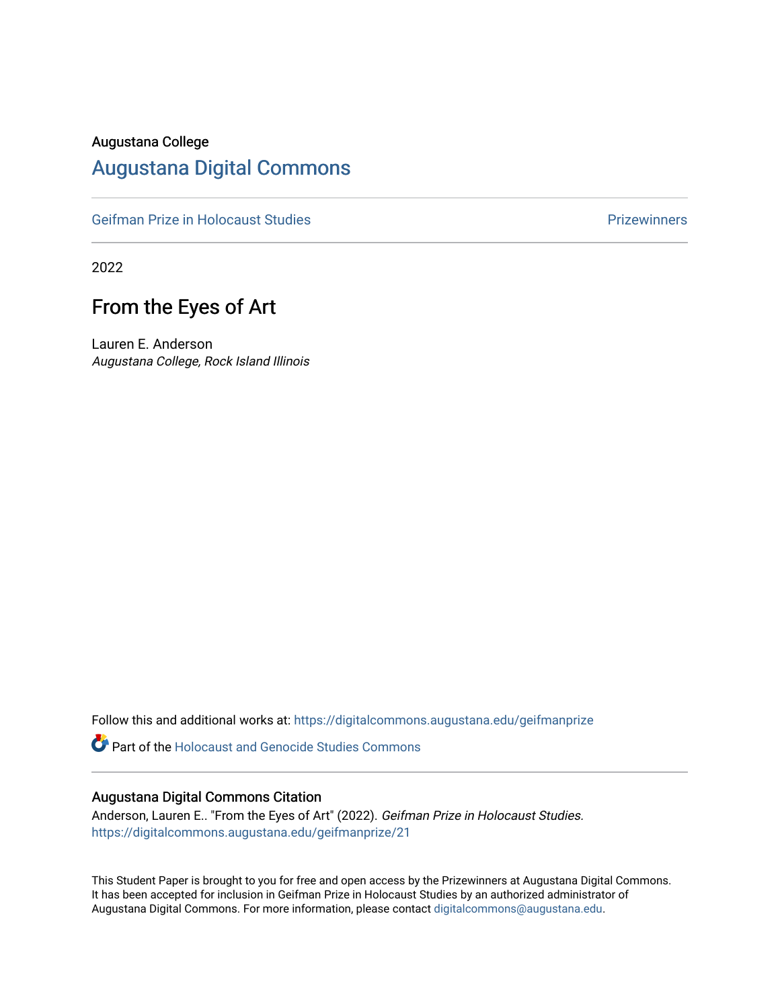#### Augustana College

### [Augustana Digital Commons](https://digitalcommons.augustana.edu/)

[Geifman Prize in Holocaust Studies](https://digitalcommons.augustana.edu/geifmanprize) **Prizewinners** Prizewinners

2022

# From the Eyes of Art

Lauren E. Anderson Augustana College, Rock Island Illinois

Follow this and additional works at: [https://digitalcommons.augustana.edu/geifmanprize](https://digitalcommons.augustana.edu/geifmanprize?utm_source=digitalcommons.augustana.edu%2Fgeifmanprize%2F21&utm_medium=PDF&utm_campaign=PDFCoverPages)

**C** Part of the Holocaust and Genocide Studies Commons

#### Augustana Digital Commons Citation

Anderson, Lauren E.. "From the Eyes of Art" (2022). Geifman Prize in Holocaust Studies. [https://digitalcommons.augustana.edu/geifmanprize/21](https://digitalcommons.augustana.edu/geifmanprize/21?utm_source=digitalcommons.augustana.edu%2Fgeifmanprize%2F21&utm_medium=PDF&utm_campaign=PDFCoverPages) 

This Student Paper is brought to you for free and open access by the Prizewinners at Augustana Digital Commons. It has been accepted for inclusion in Geifman Prize in Holocaust Studies by an authorized administrator of Augustana Digital Commons. For more information, please contact [digitalcommons@augustana.edu](mailto:digitalcommons@augustana.edu).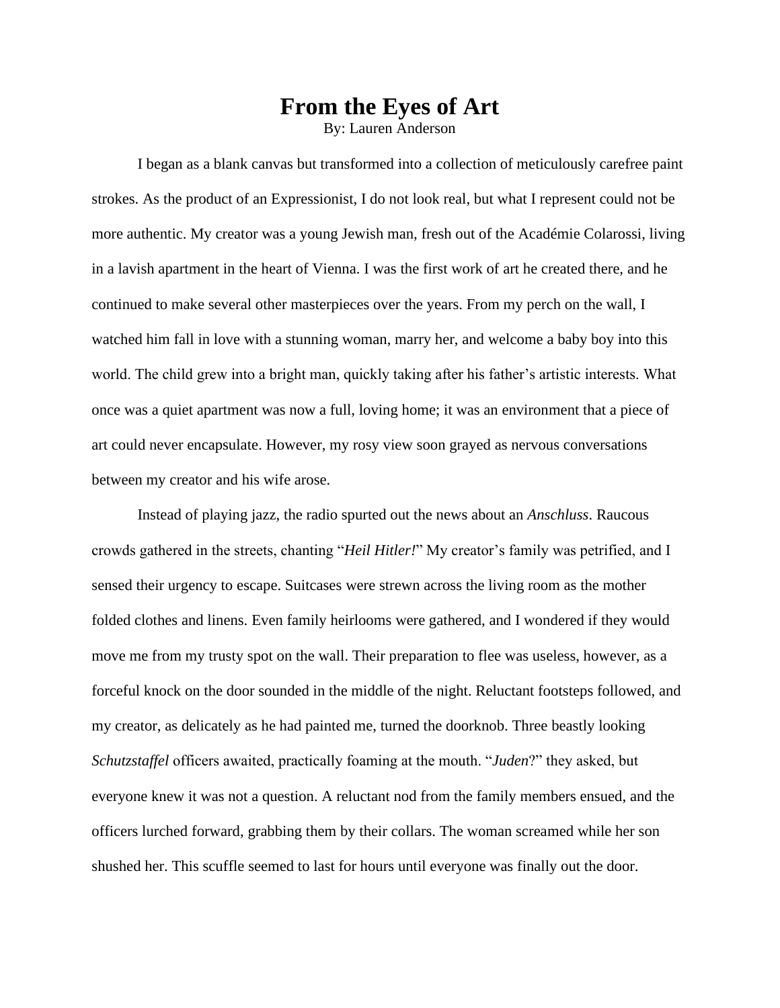## **From the Eyes of Art**

By: Lauren Anderson

I began as a blank canvas but transformed into a collection of meticulously carefree paint strokes. As the product of an Expressionist, I do not look real, but what I represent could not be more authentic. My creator was a young Jewish man, fresh out of the Académie Colarossi, living in a lavish apartment in the heart of Vienna. I was the first work of art he created there, and he continued to make several other masterpieces over the years. From my perch on the wall, I watched him fall in love with a stunning woman, marry her, and welcome a baby boy into this world. The child grew into a bright man, quickly taking after his father's artistic interests. What once was a quiet apartment was now a full, loving home; it was an environment that a piece of art could never encapsulate. However, my rosy view soon grayed as nervous conversations between my creator and his wife arose.

Instead of playing jazz, the radio spurted out the news about an *Anschluss*. Raucous crowds gathered in the streets, chanting "*Heil Hitler!*" My creator's family was petrified, and I sensed their urgency to escape. Suitcases were strewn across the living room as the mother folded clothes and linens. Even family heirlooms were gathered, and I wondered if they would move me from my trusty spot on the wall. Their preparation to flee was useless, however, as a forceful knock on the door sounded in the middle of the night. Reluctant footsteps followed, and my creator, as delicately as he had painted me, turned the doorknob. Three beastly looking *Schutzstaffel* officers awaited, practically foaming at the mouth. "*Juden*?" they asked, but everyone knew it was not a question. A reluctant nod from the family members ensued, and the officers lurched forward, grabbing them by their collars. The woman screamed while her son shushed her. This scuffle seemed to last for hours until everyone was finally out the door.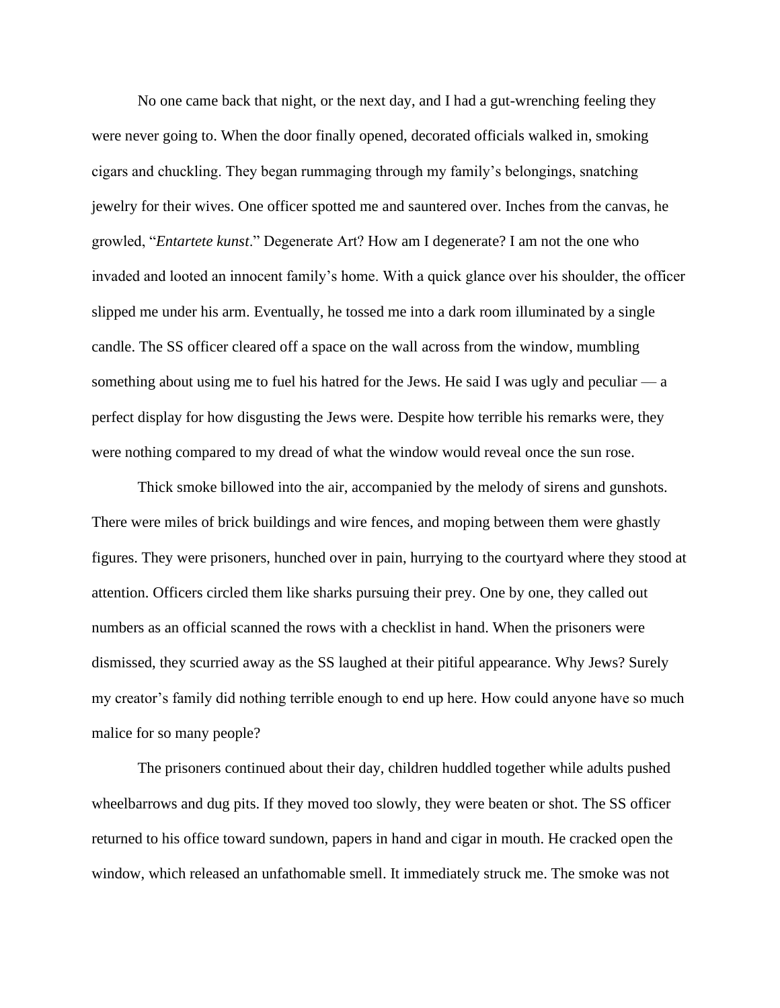No one came back that night, or the next day, and I had a gut-wrenching feeling they were never going to. When the door finally opened, decorated officials walked in, smoking cigars and chuckling. They began rummaging through my family's belongings, snatching jewelry for their wives. One officer spotted me and sauntered over. Inches from the canvas, he growled, "*Entartete kunst*." Degenerate Art? How am I degenerate? I am not the one who invaded and looted an innocent family's home. With a quick glance over his shoulder, the officer slipped me under his arm. Eventually, he tossed me into a dark room illuminated by a single candle. The SS officer cleared off a space on the wall across from the window, mumbling something about using me to fuel his hatred for the Jews. He said I was ugly and peculiar  $\frac{a}{a}$ perfect display for how disgusting the Jews were. Despite how terrible his remarks were, they were nothing compared to my dread of what the window would reveal once the sun rose.

Thick smoke billowed into the air, accompanied by the melody of sirens and gunshots. There were miles of brick buildings and wire fences, and moping between them were ghastly figures. They were prisoners, hunched over in pain, hurrying to the courtyard where they stood at attention. Officers circled them like sharks pursuing their prey. One by one, they called out numbers as an official scanned the rows with a checklist in hand. When the prisoners were dismissed, they scurried away as the SS laughed at their pitiful appearance. Why Jews? Surely my creator's family did nothing terrible enough to end up here. How could anyone have so much malice for so many people?

The prisoners continued about their day, children huddled together while adults pushed wheelbarrows and dug pits. If they moved too slowly, they were beaten or shot. The SS officer returned to his office toward sundown, papers in hand and cigar in mouth. He cracked open the window, which released an unfathomable smell. It immediately struck me. The smoke was not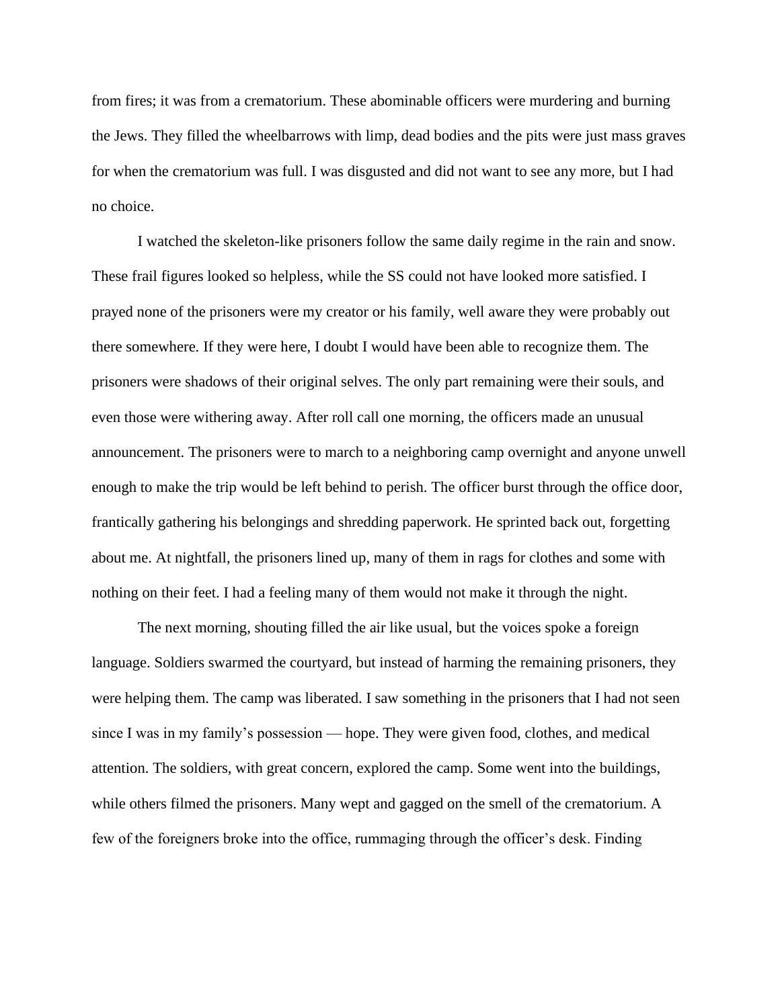from fires; it was from a crematorium. These abominable officers were murdering and burning the Jews. They filled the wheelbarrows with limp, dead bodies and the pits were just mass graves for when the crematorium was full. I was disgusted and did not want to see any more, but I had no choice.

I watched the skeleton-like prisoners follow the same daily regime in the rain and snow. These frail figures looked so helpless, while the SS could not have looked more satisfied. I prayed none of the prisoners were my creator or his family, well aware they were probably out there somewhere. If they were here, I doubt I would have been able to recognize them. The prisoners were shadows of their original selves. The only part remaining were their souls, and even those were withering away. After roll call one morning, the officers made an unusual announcement. The prisoners were to march to a neighboring camp overnight and anyone unwell enough to make the trip would be left behind to perish. The officer burst through the office door, frantically gathering his belongings and shredding paperwork. He sprinted back out, forgetting about me. At nightfall, the prisoners lined up, many of them in rags for clothes and some with nothing on their feet. I had a feeling many of them would not make it through the night.

The next morning, shouting filled the air like usual, but the voices spoke a foreign language. Soldiers swarmed the courtyard, but instead of harming the remaining prisoners, they were helping them. The camp was liberated. I saw something in the prisoners that I had not seen since I was in my family's possession — hope. They were given food, clothes, and medical attention. The soldiers, with great concern, explored the camp. Some went into the buildings, while others filmed the prisoners. Many wept and gagged on the smell of the crematorium. A few of the foreigners broke into the office, rummaging through the officer's desk. Finding